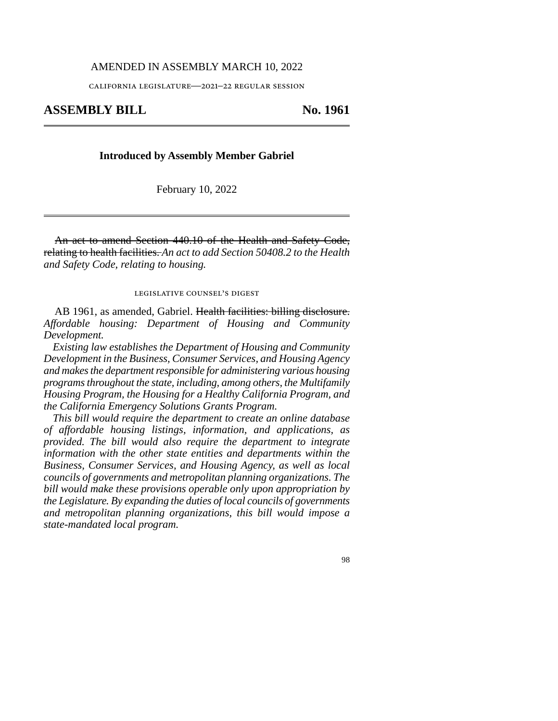## AMENDED IN ASSEMBLY MARCH 10, 2022

california legislature—2021–22 regular session

## **ASSEMBLY BILL No. 1961**

## **Introduced by Assembly Member Gabriel**

February 10, 2022

An act to amend Section 440.10 of the Health and Safety Code, relating to health facilities. *An act to add Section 50408.2 to the Health and Safety Code, relating to housing.*

legislative counsel's digest

AB 1961, as amended, Gabriel. Health facilities: billing disclosure. *Affordable housing: Department of Housing and Community Development.*

*Existing law establishes the Department of Housing and Community Development in the Business, Consumer Services, and Housing Agency and makes the department responsible for administering various housing programs throughout the state, including, among others, the Multifamily Housing Program, the Housing for a Healthy California Program, and the California Emergency Solutions Grants Program.* 

*This bill would require the department to create an online database of affordable housing listings, information, and applications, as provided. The bill would also require the department to integrate information with the other state entities and departments within the Business, Consumer Services, and Housing Agency, as well as local councils of governments and metropolitan planning organizations. The bill would make these provisions operable only upon appropriation by the Legislature. By expanding the duties of local councils of governments and metropolitan planning organizations, this bill would impose a state-mandated local program.* 

98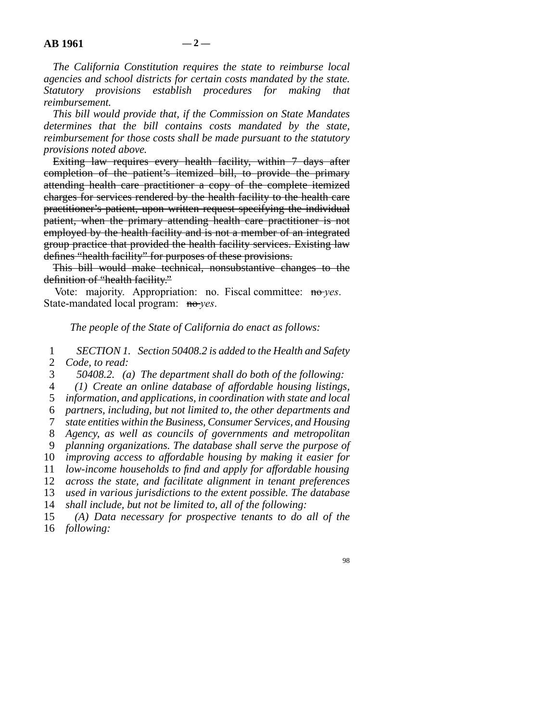*The California Constitution requires the state to reimburse local agencies and school districts for certain costs mandated by the state. Statutory provisions establish procedures for making that reimbursement.* 

*This bill would provide that, if the Commission on State Mandates determines that the bill contains costs mandated by the state, reimbursement for those costs shall be made pursuant to the statutory provisions noted above.* 

Exiting law requires every health facility, within 7 days after completion of the patient's itemized bill, to provide the primary attending health care practitioner a copy of the complete itemized charges for services rendered by the health facility to the health care practitioner's patient, upon written request specifying the individual patient, when the primary attending health care practitioner is not employed by the health facility and is not a member of an integrated group practice that provided the health facility services. Existing law defines "health facility" for purposes of these provisions.

This bill would make technical, nonsubstantive changes to the definition of "health facility."

Vote: majority. Appropriation: no. Fiscal committee: no-*yes*. State-mandated local program: no-*yes*.

*The people of the State of California do enact as follows:* 

 line 1 *SECTION 1. Section 50408.2 is added to the Health and Safety*  2 *Code, to read:* 

line 3 *50408.2. (a) The department shall do both of the following:* 

line 4 *(1) Create an online database of affordable housing listings,* 

5 *information, and applications, in coordination with state and local* 

line 6 *partners, including, but not limited to, the other departments and* 

line 7 *state entities within the Business, Consumer Services, and Housing* 

line 8 *Agency, as well as councils of governments and metropolitan* 

line 9 *planning organizations. The database shall serve the purpose of* 

10 *improving access to affordable housing by making it easier for* 

11 *low-income households to find and apply for affordable housing* 

12 *across the state, and facilitate alignment in tenant preferences* 13 *used in various jurisdictions to the extent possible. The database* 

14 *shall include, but not be limited to, all of the following:* 

15 (A) Data necessary for prospective tenants to do all of the 16 *following:* 

98